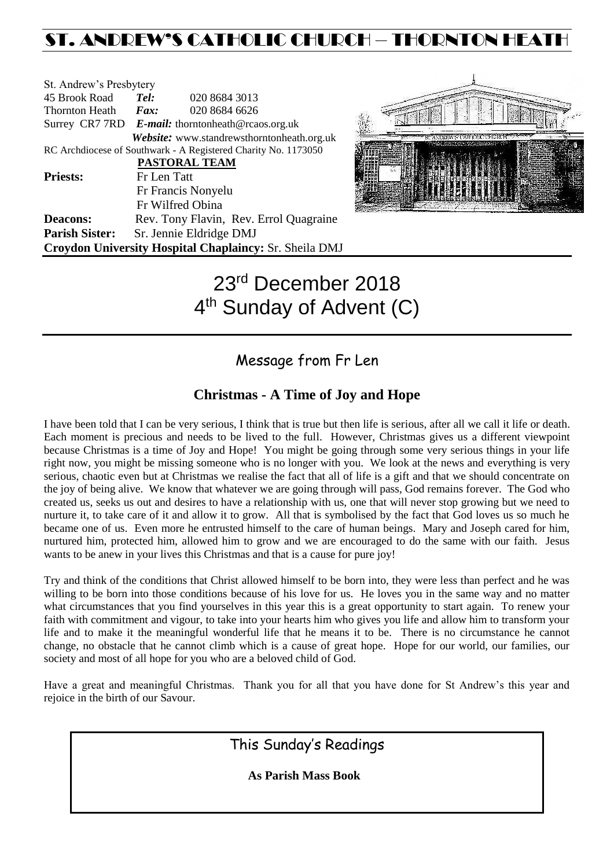## ST. ANDREW'S CATHOLIC CHURCH – THORNTON HEAT

| St. Andrew's Presbytery     |             |                                                                |
|-----------------------------|-------------|----------------------------------------------------------------|
| 45 Brook Road               | Tel:        | 020 8684 3013                                                  |
| Thornton Heath <i>Fax</i> : |             | 020 8684 6626                                                  |
|                             |             | Surrey CR7 7RD E-mail: thorntonheath@rcaos.org.uk              |
|                             |             | Website: www.standrewsthorntonheath.org.uk                     |
|                             |             | RC Archdiocese of Southwark - A Registered Charity No. 1173050 |
|                             |             | <b>PASTORAL TEAM</b>                                           |
| <b>Priests:</b>             | Fr Len Tatt |                                                                |
|                             |             | Fr Francis Nonyelu                                             |
|                             |             | Fr Wilfred Obina                                               |
| <b>Deacons:</b>             |             | Rev. Tony Flavin, Rev. Errol Quagraine                         |
| <b>Parish Sister:</b>       |             | Sr. Jennie Eldridge DMJ                                        |
|                             |             | <b>Croydon University Hospital Chaplaincy: Sr. Sheila DMJ</b>  |



# 23rd December 2018 4<sup>th</sup> Sunday of Advent (C)

### Message from Fr Len

### **Christmas - A Time of Joy and Hope**

I have been told that I can be very serious, I think that is true but then life is serious, after all we call it life or death. Each moment is precious and needs to be lived to the full. However, Christmas gives us a different viewpoint because Christmas is a time of Joy and Hope! You might be going through some very serious things in your life right now, you might be missing someone who is no longer with you. We look at the news and everything is very serious, chaotic even but at Christmas we realise the fact that all of life is a gift and that we should concentrate on the joy of being alive. We know that whatever we are going through will pass, God remains forever. The God who created us, seeks us out and desires to have a relationship with us, one that will never stop growing but we need to nurture it, to take care of it and allow it to grow. All that is symbolised by the fact that God loves us so much he became one of us. Even more he entrusted himself to the care of human beings. Mary and Joseph cared for him, nurtured him, protected him, allowed him to grow and we are encouraged to do the same with our faith. Jesus wants to be anew in your lives this Christmas and that is a cause for pure joy!

Try and think of the conditions that Christ allowed himself to be born into, they were less than perfect and he was willing to be born into those conditions because of his love for us. He loves you in the same way and no matter what circumstances that you find yourselves in this year this is a great opportunity to start again. To renew your faith with commitment and vigour, to take into your hearts him who gives you life and allow him to transform your life and to make it the meaningful wonderful life that he means it to be. There is no circumstance he cannot change, no obstacle that he cannot climb which is a cause of great hope. Hope for our world, our families, our society and most of all hope for you who are a beloved child of God.

Have a great and meaningful Christmas. Thank you for all that you have done for St Andrew's this year and rejoice in the birth of our Savour.

This Sunday's Readings

 **As Parish Mass Book**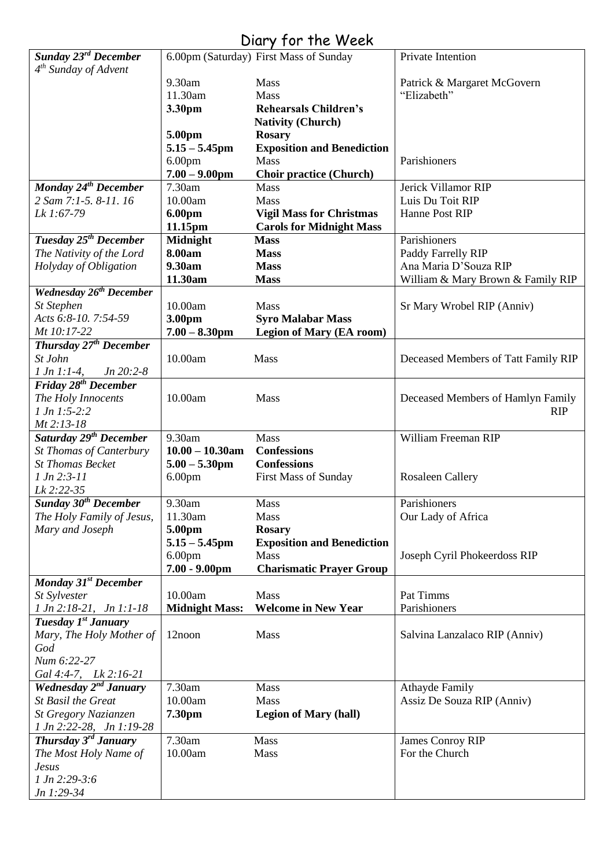### Diary for the Week

| Sunday 23rd December               |                       | 6.00pm (Saturday) First Mass of Sunday | Private Intention                   |
|------------------------------------|-----------------------|----------------------------------------|-------------------------------------|
| 4 <sup>th</sup> Sunday of Advent   |                       |                                        |                                     |
|                                    | 9.30am                | Mass                                   | Patrick & Margaret McGovern         |
|                                    | 11.30am               | Mass                                   | "Elizabeth"                         |
|                                    |                       |                                        |                                     |
|                                    | 3.30pm                | <b>Rehearsals Children's</b>           |                                     |
|                                    |                       | <b>Nativity (Church)</b>               |                                     |
|                                    | 5.00pm                | <b>Rosary</b>                          |                                     |
|                                    | $5.15 - 5.45$ pm      | <b>Exposition and Benediction</b>      |                                     |
|                                    | 6.00 <sub>pm</sub>    | Mass                                   | Parishioners                        |
|                                    | $7.00 - 9.00$ pm      | <b>Choir practice (Church)</b>         |                                     |
| Monday 24 <sup>th</sup> December   | 7.30am                | <b>Mass</b>                            | Jerick Villamor RIP                 |
| 2 Sam 7:1-5. 8-11. 16              | 10.00am               | <b>Mass</b>                            | Luis Du Toit RIP                    |
| Lk 1:67-79                         | <b>6.00pm</b>         | <b>Vigil Mass for Christmas</b>        | Hanne Post RIP                      |
|                                    | 11.15pm               | <b>Carols for Midnight Mass</b>        |                                     |
| Tuesday 25 <sup>th</sup> December  | <b>Midnight</b>       | <b>Mass</b>                            | Parishioners                        |
| The Nativity of the Lord           | 8.00am                | <b>Mass</b>                            | Paddy Farrelly RIP                  |
| Holyday of Obligation              | 9.30am                | <b>Mass</b>                            | Ana Maria D'Souza RIP               |
|                                    | 11.30am               | <b>Mass</b>                            | William & Mary Brown & Family RIP   |
| <b>Wednesday 26th December</b>     |                       |                                        |                                     |
| St Stephen                         | 10.00am               | Mass                                   | Sr Mary Wrobel RIP (Anniv)          |
| Acts 6:8-10. 7:54-59               | 3.00pm                | <b>Syro Malabar Mass</b>               |                                     |
| Mt 10:17-22                        | $7.00 - 8.30$ pm      | <b>Legion of Mary (EA room)</b>        |                                     |
| Thursday 27 <sup>th</sup> December |                       |                                        |                                     |
| St John                            | 10.00am               | Mass                                   | Deceased Members of Tatt Family RIP |
| $1 Jn 1:1-4,$<br>$Jn 20:2-8$       |                       |                                        |                                     |
| Friday 28 <sup>th</sup> December   |                       |                                        |                                     |
| The Holy Innocents                 | 10.00am               | Mass                                   | Deceased Members of Hamlyn Family   |
| $1 Jn 1:5-2:2$                     |                       |                                        | <b>RIP</b>                          |
| Mt 2:13-18                         |                       |                                        |                                     |
| Saturday 29 <sup>th</sup> December | 9.30am                | Mass                                   | William Freeman RIP                 |
| <b>St Thomas of Canterbury</b>     | $10.00 - 10.30$ am    | <b>Confessions</b>                     |                                     |
| <b>St Thomas Becket</b>            |                       |                                        |                                     |
|                                    | $5.00 - 5.30$ pm      | <b>Confessions</b>                     |                                     |
| $1 Jn 2:3-11$                      | 6.00 <sub>pm</sub>    | <b>First Mass of Sunday</b>            | <b>Rosaleen Callery</b>             |
| Lk 2:22-35                         |                       |                                        |                                     |
| Sunday 30 <sup>th</sup> December   | 9.30am                | Mass                                   | Parishioners                        |
| The Holy Family of Jesus,          | 11.30am               | Mass                                   | Our Lady of Africa                  |
| Mary and Joseph                    | 5.00pm                | <b>Rosary</b>                          |                                     |
|                                    | $5.15 - 5.45$ pm      | <b>Exposition and Benediction</b>      |                                     |
|                                    | 6.00 <sub>pm</sub>    | <b>Mass</b>                            | Joseph Cyril Phokeerdoss RIP        |
|                                    | $7.00 - 9.00$ pm      | <b>Charismatic Prayer Group</b>        |                                     |
| Monday 31 <sup>st</sup> December   |                       |                                        |                                     |
| St Sylvester                       | 10.00am               | Mass                                   | Pat Timms                           |
| 1 Jn 2:18-21, Jn 1:1-18            | <b>Midnight Mass:</b> | <b>Welcome in New Year</b>             | Parishioners                        |
| Tuesday 1 <sup>st</sup> January    |                       |                                        |                                     |
| Mary, The Holy Mother of           | 12noon                | Mass                                   | Salvina Lanzalaco RIP (Anniv)       |
| God                                |                       |                                        |                                     |
| Num 6:22-27                        |                       |                                        |                                     |
| Gal 4:4-7, Lk 2:16-21              |                       |                                        |                                     |
| Wednesday $2^{nd}$ January         | 7.30am                | Mass                                   | <b>Athayde Family</b>               |
| <b>St Basil the Great</b>          | 10.00am               | Mass                                   | Assiz De Souza RIP (Anniv)          |
| St Gregory Nazianzen               | 7.30pm                | <b>Legion of Mary (hall)</b>           |                                     |
| 1 Jn 2:22-28, Jn 1:19-28           |                       |                                        |                                     |
| Thursday 3 <sup>rd</sup> January   | 7.30am                | Mass                                   | James Conroy RIP                    |
| The Most Holy Name of              | 10.00am               | Mass                                   | For the Church                      |
| <b>Jesus</b>                       |                       |                                        |                                     |
| $1 Jn 2:29-3:6$                    |                       |                                        |                                     |
| Jn 1:29-34                         |                       |                                        |                                     |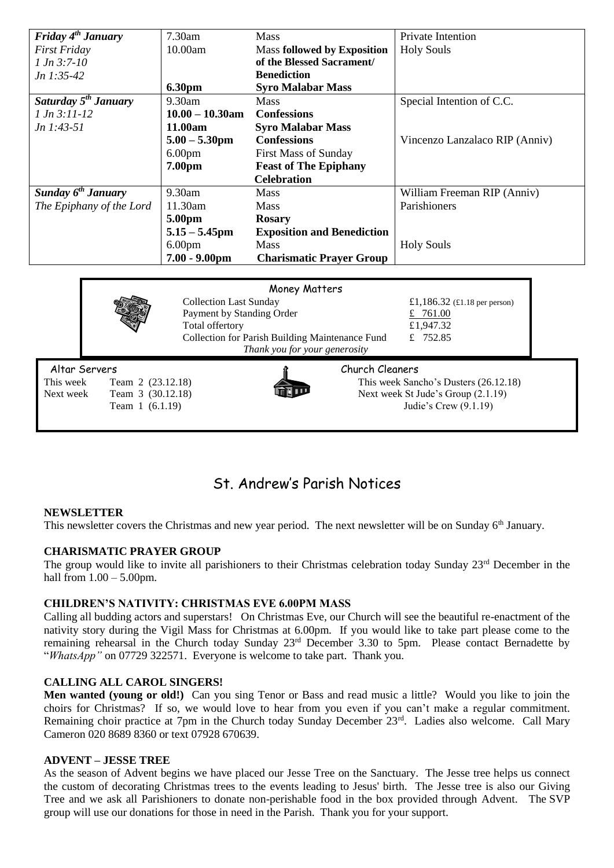| Friday $4^{th}$ January   | $7.30$ am          | <b>Mass</b>                        | <b>Private Intention</b>       |
|---------------------------|--------------------|------------------------------------|--------------------------------|
| <b>First Friday</b>       | 10.00am            | <b>Mass followed by Exposition</b> | <b>Holy Souls</b>              |
| $1 Jn 3:7-10$             |                    | of the Blessed Sacrament/          |                                |
| $Jn$ 1:35-42              |                    | <b>Benediction</b>                 |                                |
|                           | <b>6.30pm</b>      | <b>Syro Malabar Mass</b>           |                                |
| Saturday $5^{th}$ January | 9.30am             | <b>Mass</b>                        | Special Intention of C.C.      |
| $1 Jn 3:11-12$            | $10.00 - 10.30$ am | <b>Confessions</b>                 |                                |
| $Jn$ 1:43-51              | 11.00am            | <b>Syro Malabar Mass</b>           |                                |
|                           | $5.00 - 5.30$ pm   | <b>Confessions</b>                 | Vincenzo Lanzalaco RIP (Anniv) |
|                           | 6.00 <sub>pm</sub> | <b>First Mass of Sunday</b>        |                                |
|                           | 7.00 <sub>pm</sub> | <b>Feast of The Epiphany</b>       |                                |
|                           |                    | <b>Celebration</b>                 |                                |
| Sunday $6^{th}$ January   | 9.30am             | <b>Mass</b>                        | William Freeman RIP (Anniv)    |
| The Epiphany of the Lord  | 11.30am            | <b>Mass</b>                        | Parishioners                   |
|                           | 5.00pm             | <b>Rosary</b>                      |                                |
|                           | $5.15 - 5.45$ pm   | <b>Exposition and Benediction</b>  |                                |
|                           | 6.00 <sub>pm</sub> | <b>Mass</b>                        | <b>Holy Souls</b>              |
|                           | $7.00 - 9.00$ pm   | <b>Charismatic Prayer Group</b>    |                                |
|                           |                    |                                    |                                |

#### Money Matters Collection Last Sunday £1,186.32 (£1.18 per person) Payment by Standing Order  $\frac{2}{10}$  Payment by Standing Order Total offertory  $£1,947.32$ Collection for Parish Building Maintenance Fund £ 752.85 *Thank you for your generosity* Altar Servers Church Cleaners This week Team 2 (23.12.18) This week Sancho's Dusters (26.12.18)<br>Next week Team 3 (30.12.18) Next week St Jude's Group (2.1.19) Next week Team 3 (30.12.18) Next week St Jude's Group (2.1.19) Team 1 (6.1.19) Judie's Crew (9.1.19)

### St. Andrew's Parish Notices

#### **NEWSLETTER**

This newsletter covers the Christmas and new year period. The next newsletter will be on Sunday 6<sup>th</sup> January.

#### **CHARISMATIC PRAYER GROUP**

The group would like to invite all parishioners to their Christmas celebration today Sunday 23<sup>rd</sup> December in the hall from 1.00 – 5.00pm.

#### **CHILDREN'S NATIVITY: CHRISTMAS EVE 6.00PM MASS**

Calling all budding actors and superstars! On Christmas Eve, our Church will see the beautiful re-enactment of the nativity story during the Vigil Mass for Christmas at 6.00pm. If you would like to take part please come to the remaining rehearsal in the Church today Sunday 23<sup>rd</sup> December 3.30 to 5pm. Please contact Bernadette by "*WhatsApp"* on 07729 322571. Everyone is welcome to take part. Thank you.

#### **CALLING ALL CAROL SINGERS!**

**Men wanted (young or old!)** Can you sing Tenor or Bass and read music a little? Would you like to join the choirs for Christmas? If so, we would love to hear from you even if you can't make a regular commitment. Remaining choir practice at 7pm in the Church today Sunday December 23<sup>rd</sup>. Ladies also welcome. Call Mary Cameron 020 8689 8360 or text 07928 670639.

#### **ADVENT – JESSE TREE**

As the season of Advent begins we have placed our Jesse Tree on the Sanctuary. The Jesse tree helps us connect the custom of decorating Christmas trees to the events leading to Jesus' birth. The Jesse tree is also our Giving Tree and we ask all Parishioners to donate non-perishable food in the box provided through Advent. The SVP group will use our donations for those in need in the Parish. Thank you for your support.